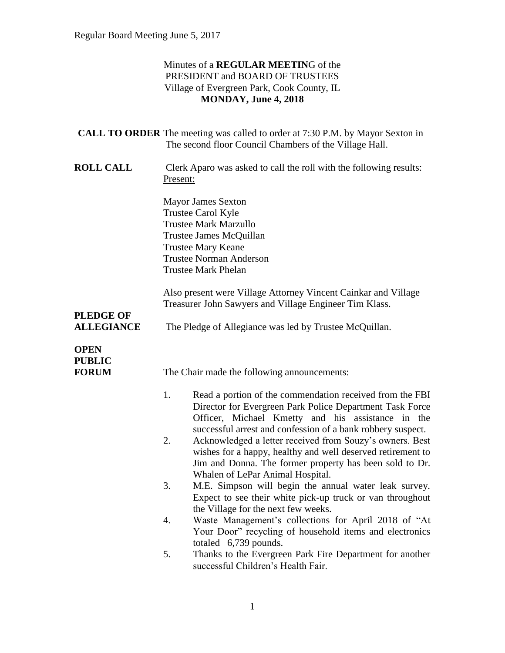### Minutes of a **REGULAR MEETIN**G of the PRESIDENT and BOARD OF TRUSTEES Village of Evergreen Park, Cook County, IL **MONDAY, June 4, 2018**

|                                              |                                                                                                                                                                                                         | <b>CALL TO ORDER</b> The meeting was called to order at 7:30 P.M. by Mayor Sexton in<br>The second floor Council Chambers of the Village Hall.                                                                                                    |  |
|----------------------------------------------|---------------------------------------------------------------------------------------------------------------------------------------------------------------------------------------------------------|---------------------------------------------------------------------------------------------------------------------------------------------------------------------------------------------------------------------------------------------------|--|
| <b>ROLL CALL</b>                             |                                                                                                                                                                                                         | Clerk Aparo was asked to call the roll with the following results:<br>Present:                                                                                                                                                                    |  |
|                                              | <b>Mayor James Sexton</b><br>Trustee Carol Kyle<br><b>Trustee Mark Marzullo</b><br>Trustee James McQuillan<br><b>Trustee Mary Keane</b><br><b>Trustee Norman Anderson</b><br><b>Trustee Mark Phelan</b> |                                                                                                                                                                                                                                                   |  |
|                                              | Also present were Village Attorney Vincent Cainkar and Village<br>Treasurer John Sawyers and Village Engineer Tim Klass.                                                                                |                                                                                                                                                                                                                                                   |  |
| <b>PLEDGE OF</b><br><b>ALLEGIANCE</b>        | The Pledge of Allegiance was led by Trustee McQuillan.                                                                                                                                                  |                                                                                                                                                                                                                                                   |  |
| <b>OPEN</b><br><b>PUBLIC</b><br><b>FORUM</b> |                                                                                                                                                                                                         | The Chair made the following announcements:                                                                                                                                                                                                       |  |
|                                              | 1.                                                                                                                                                                                                      | Read a portion of the commendation received from the FBI<br>Director for Evergreen Park Police Department Task Force<br>Officer, Michael Kmetty and his assistance in the                                                                         |  |
|                                              | 2.                                                                                                                                                                                                      | successful arrest and confession of a bank robbery suspect.<br>Acknowledged a letter received from Souzy's owners. Best<br>wishes for a happy, healthy and well deserved retirement to<br>Jim and Donna. The former property has been sold to Dr. |  |
|                                              | 3.                                                                                                                                                                                                      | Whalen of LePar Animal Hospital.<br>M.E. Simpson will begin the annual water leak survey.<br>Expect to see their white pick-up truck or van throughout                                                                                            |  |
|                                              | 4.                                                                                                                                                                                                      | the Village for the next few weeks.<br>Waste Management's collections for April 2018 of "At<br>Your Door" recycling of household items and electronics                                                                                            |  |
|                                              | 5.                                                                                                                                                                                                      | totaled 6,739 pounds.<br>Thanks to the Evergreen Park Fire Department for another<br>successful Children's Health Fair.                                                                                                                           |  |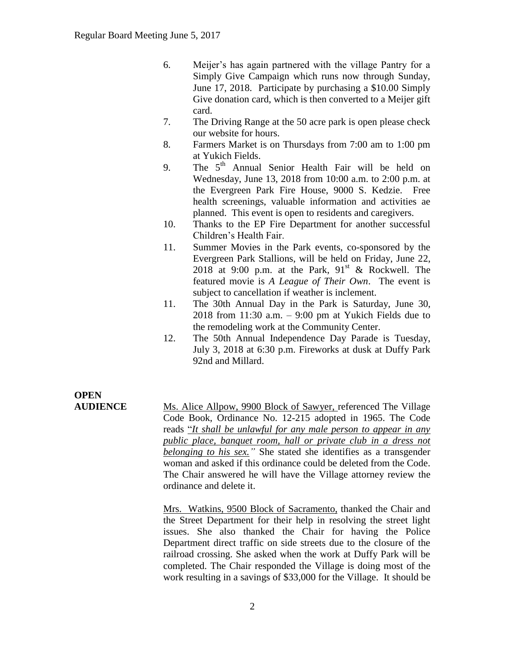- 6. Meijer's has again partnered with the village Pantry for a Simply Give Campaign which runs now through Sunday, June 17, 2018. Participate by purchasing a \$10.00 Simply Give donation card, which is then converted to a Meijer gift card.
- 7. The Driving Range at the 50 acre park is open please check our website for hours.
- 8. Farmers Market is on Thursdays from 7:00 am to 1:00 pm at Yukich Fields.
- 9. The 5<sup>th</sup> Annual Senior Health Fair will be held on Wednesday, June 13, 2018 from 10:00 a.m. to 2:00 p.m. at the Evergreen Park Fire House, 9000 S. Kedzie. Free health screenings, valuable information and activities ae planned. This event is open to residents and caregivers.
- 10. Thanks to the EP Fire Department for another successful Children's Health Fair.
- 11. Summer Movies in the Park events, co-sponsored by the Evergreen Park Stallions, will be held on Friday, June 22, 2018 at 9:00 p.m. at the Park,  $91<sup>st</sup>$  & Rockwell. The featured movie is *A League of Their Own*. The event is subject to cancellation if weather is inclement.
- 11. The 30th Annual Day in the Park is Saturday, June 30, 2018 from  $11:30$  a.m.  $-9:00$  pm at Yukich Fields due to the remodeling work at the Community Center.
- 12. The 50th Annual Independence Day Parade is Tuesday, July 3, 2018 at 6:30 p.m. Fireworks at dusk at Duffy Park 92nd and Millard.

# **OPEN**

**AUDIENCE** Ms. Alice Allpow, 9900 Block of Sawyer, referenced The Village Code Book, Ordinance No. 12-215 adopted in 1965. The Code reads "*It shall be unlawful for any male person to appear in any public place, banquet room, hall or private club in a dress not belonging to his sex."* She stated she identifies as a transgender woman and asked if this ordinance could be deleted from the Code. The Chair answered he will have the Village attorney review the ordinance and delete it.

> Mrs. Watkins, 9500 Block of Sacramento, thanked the Chair and the Street Department for their help in resolving the street light issues. She also thanked the Chair for having the Police Department direct traffic on side streets due to the closure of the railroad crossing. She asked when the work at Duffy Park will be completed. The Chair responded the Village is doing most of the work resulting in a savings of \$33,000 for the Village. It should be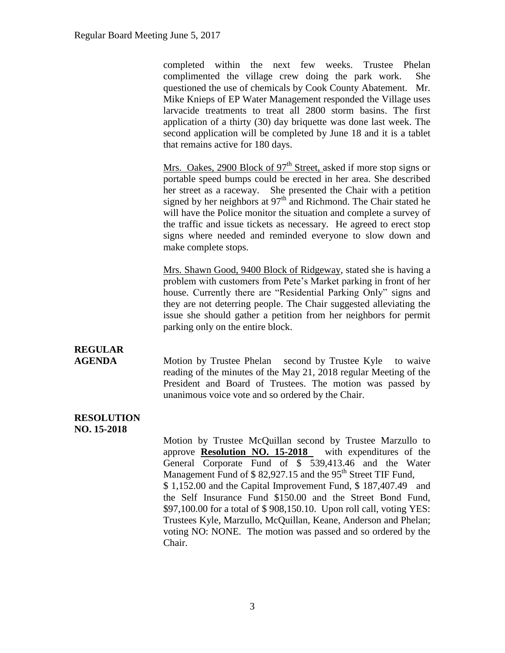completed within the next few weeks. Trustee Phelan complimented the village crew doing the park work. She questioned the use of chemicals by Cook County Abatement. Mr. Mike Knieps of EP Water Management responded the Village uses larvacide treatments to treat all 2800 storm basins. The first application of a thirty (30) day briquette was done last week. The second application will be completed by June 18 and it is a tablet that remains active for 180 days.

Mrs. Oakes, 2900 Block of  $97<sup>th</sup>$  Street, asked if more stop signs or portable speed bumps could be erected in her area. She described her street as a raceway. She presented the Chair with a petition signed by her neighbors at  $97<sup>th</sup>$  and Richmond. The Chair stated he will have the Police monitor the situation and complete a survey of the traffic and issue tickets as necessary. He agreed to erect stop signs where needed and reminded everyone to slow down and make complete stops.

Mrs. Shawn Good, 9400 Block of Ridgeway, stated she is having a problem with customers from Pete's Market parking in front of her house. Currently there are "Residential Parking Only" signs and they are not deterring people. The Chair suggested alleviating the issue she should gather a petition from her neighbors for permit parking only on the entire block.

### **REGULAR**

**AGENDA** Motion by Trustee Phelan second by Trustee Kyle to waive reading of the minutes of the May 21, 2018 regular Meeting of the President and Board of Trustees. The motion was passed by unanimous voice vote and so ordered by the Chair.

#### **RESOLUTION NO. 15-2018**

Motion by Trustee McQuillan second by Trustee Marzullo to approve **Resolution NO. 15-2018** with expenditures of the General Corporate Fund of \$ 539,413.46 and the Water Management Fund of  $$ 82,927.15$  and the  $95<sup>th</sup>$  Street TIF Fund, \$ 1,152.00 and the Capital Improvement Fund, \$ 187,407.49 and the Self Insurance Fund \$150.00 and the Street Bond Fund, \$97,100.00 for a total of \$ 908,150.10. Upon roll call, voting YES: Trustees Kyle, Marzullo, McQuillan, Keane, Anderson and Phelan; voting NO: NONE. The motion was passed and so ordered by the Chair.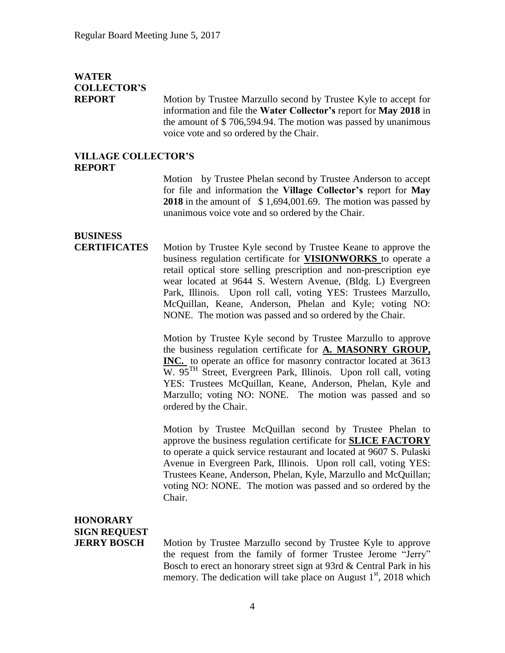### **WATER COLLECTOR'S**

**REPORT** Motion by Trustee Marzullo second by Trustee Kyle to accept for information and file the **Water Collector's** report for **May 2018** in the amount of \$ 706,594.94. The motion was passed by unanimous voice vote and so ordered by the Chair.

#### **VILLAGE COLLECTOR'S REPORT**

Motion by Trustee Phelan second by Trustee Anderson to accept for file and information the **Village Collector's** report for **May 2018** in the amount of \$ 1,694,001.69. The motion was passed by unanimous voice vote and so ordered by the Chair.

### **BUSINESS**

**CERTIFICATES** Motion by Trustee Kyle second by Trustee Keane to approve the business regulation certificate for **VISIONWORKS** to operate a retail optical store selling prescription and non-prescription eye wear located at 9644 S. Western Avenue, (Bldg. L) Evergreen Park, Illinois. Upon roll call, voting YES: Trustees Marzullo, McQuillan, Keane, Anderson, Phelan and Kyle; voting NO: NONE. The motion was passed and so ordered by the Chair.

> Motion by Trustee Kyle second by Trustee Marzullo to approve the business regulation certificate for **A. MASONRY GROUP, INC.** to operate an office for masonry contractor located at 3613 W. 95<sup>TH</sup> Street, Evergreen Park, Illinois. Upon roll call, voting YES: Trustees McQuillan, Keane, Anderson, Phelan, Kyle and Marzullo; voting NO: NONE. The motion was passed and so ordered by the Chair.

> Motion by Trustee McQuillan second by Trustee Phelan to approve the business regulation certificate for **SLICE FACTORY**  to operate a quick service restaurant and located at 9607 S. Pulaski Avenue in Evergreen Park, Illinois. Upon roll call, voting YES: Trustees Keane, Anderson, Phelan, Kyle, Marzullo and McQuillan; voting NO: NONE. The motion was passed and so ordered by the Chair.

### **HONORARY SIGN REQUEST**

**JERRY BOSCH** Motion by Trustee Marzullo second by Trustee Kyle to approve the request from the family of former Trustee Jerome "Jerry" Bosch to erect an honorary street sign at 93rd & Central Park in his memory. The dedication will take place on August  $1<sup>st</sup>$ , 2018 which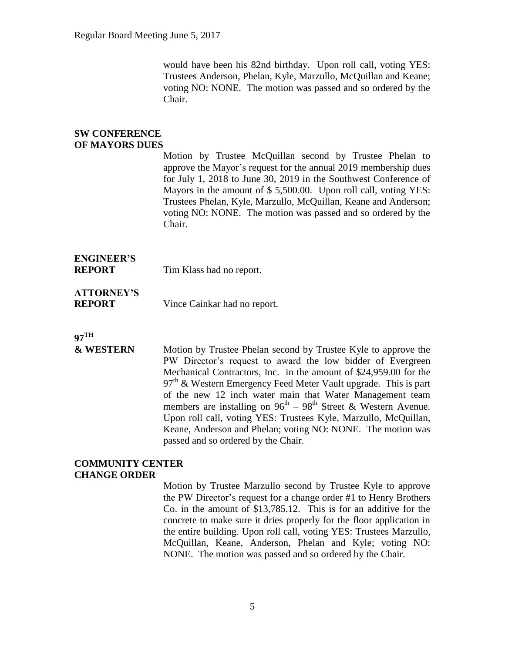would have been his 82nd birthday. Upon roll call, voting YES: Trustees Anderson, Phelan, Kyle, Marzullo, McQuillan and Keane; voting NO: NONE. The motion was passed and so ordered by the Chair.

#### **SW CONFERENCE OF MAYORS DUES**

Motion by Trustee McQuillan second by Trustee Phelan to approve the Mayor's request for the annual 2019 membership dues for July 1, 2018 to June 30, 2019 in the Southwest Conference of Mayors in the amount of \$ 5,500.00. Upon roll call, voting YES: Trustees Phelan, Kyle, Marzullo, McQuillan, Keane and Anderson; voting NO: NONE. The motion was passed and so ordered by the Chair.

### **ENGINEER'S**

**REPORT** Tim Klass had no report.

## **ATTORNEY'S**

**REPORT** Vince Cainkar had no report.

### **97TH**

### **& WESTERN** Motion by Trustee Phelan second by Trustee Kyle to approve the PW Director's request to award the low bidder of Evergreen Mechanical Contractors, Inc. in the amount of \$24,959.00 for the  $97<sup>th</sup>$  & Western Emergency Feed Meter Vault upgrade. This is part of the new 12 inch water main that Water Management team members are installing on  $96<sup>th</sup> - 98<sup>th</sup>$  Street & Western Avenue. Upon roll call, voting YES: Trustees Kyle, Marzullo, McQuillan, Keane, Anderson and Phelan; voting NO: NONE. The motion was passed and so ordered by the Chair.

#### **COMMUNITY CENTER CHANGE ORDER**

Motion by Trustee Marzullo second by Trustee Kyle to approve the PW Director's request for a change order #1 to Henry Brothers Co. in the amount of \$13,785.12. This is for an additive for the concrete to make sure it dries properly for the floor application in the entire building. Upon roll call, voting YES: Trustees Marzullo, McQuillan, Keane, Anderson, Phelan and Kyle; voting NO: NONE. The motion was passed and so ordered by the Chair.